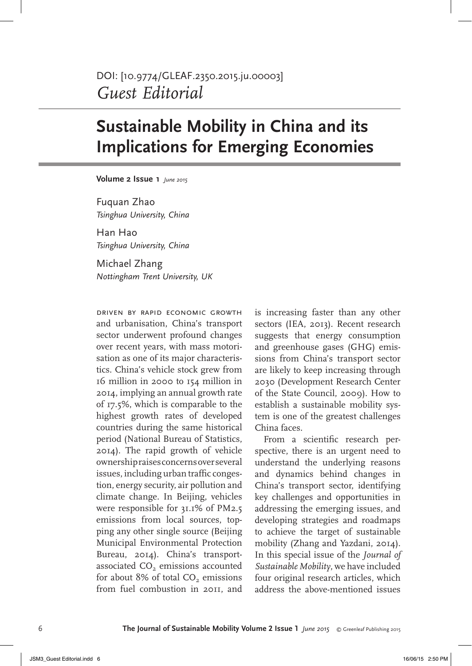## **Sustainable Mobility in China and its Implications for Emerging Economies**

**Volume 2 Issue 1** *June 2015*

Fuquan Zhao *Tsinghua University, China*

Han Hao *Tsinghua University, China*

Michael Zhang *Nottingham Trent University, UK*

driven by rapid economic growth and urbanisation, China's transport sector underwent profound changes over recent years, with mass motorisation as one of its major characteristics. China's vehicle stock grew from 16 million in 2000 to 154 million in 2014, implying an annual growth rate of 17.5%, which is comparable to the highest growth rates of developed countries during the same historical period (National Bureau of Statistics, 2014). The rapid growth of vehicle ownership raises concerns over several issues, including urban traffic congestion, energy security, air pollution and climate change. In Beijing, vehicles were responsible for 31.1% of PM2.5 emissions from local sources, topping any other single source (Beijing Municipal Environmental Protection Bureau, 2014). China's transportassociated  $CO<sub>2</sub>$  emissions accounted for about 8% of total  $CO<sub>2</sub>$  emissions from fuel combustion in 2011, and is increasing faster than any other sectors (IEA, 2013). Recent research suggests that energy consumption and greenhouse gases (GHG) emissions from China's transport sector are likely to keep increasing through 2030 (Development Research Center of the State Council, 2009). How to establish a sustainable mobility system is one of the greatest challenges China faces.

From a scientific research perspective, there is an urgent need to understand the underlying reasons and dynamics behind changes in China's transport sector, identifying key challenges and opportunities in addressing the emerging issues, and developing strategies and roadmaps to achieve the target of sustainable mobility (Zhang and Yazdani, 2014). In this special issue of the *Journal of Sustainable Mobility*, we have included four original research articles, which address the above-mentioned issues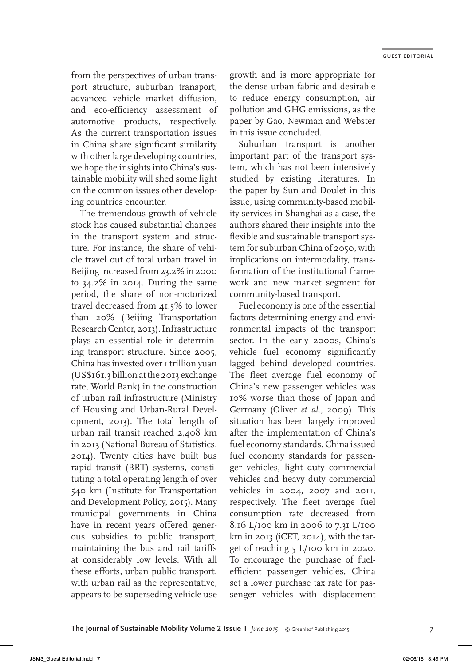from the perspectives of urban transport structure, suburban transport, advanced vehicle market diffusion, and eco-efficiency assessment of automotive products, respectively. As the current transportation issues in China share significant similarity with other large developing countries, we hope the insights into China's sustainable mobility will shed some light on the common issues other developing countries encounter.

The tremendous growth of vehicle stock has caused substantial changes in the transport system and structure. For instance, the share of vehicle travel out of total urban travel in Beijing increased from 23.2% in 2000 to 34.2% in 2014. During the same period, the share of non-motorized travel decreased from 41.5% to lower than 20% (Beijing Transportation Research Center, 2013). Infrastructure plays an essential role in determining transport structure. Since 2005, China has invested over 1 trillion yuan (US\$161.3 billion at the 2013 exchange rate, World Bank) in the construction of urban rail infrastructure (Ministry of Housing and Urban-Rural Development, 2013). The total length of urban rail transit reached 2,408 km in 2013 (National Bureau of Statistics, 2014). Twenty cities have built bus rapid transit (BRT) systems, constituting a total operating length of over 540 km (Institute for Transportation and Development Policy, 2015). Many municipal governments in China have in recent years offered generous subsidies to public transport, maintaining the bus and rail tariffs at considerably low levels. With all these efforts, urban public transport, with urban rail as the representative, appears to be superseding vehicle use

growth and is more appropriate for the dense urban fabric and desirable to reduce energy consumption, air pollution and GHG emissions, as the paper by Gao, Newman and Webster in this issue concluded.

Suburban transport is another important part of the transport system, which has not been intensively studied by existing literatures. In the paper by Sun and Doulet in this issue, using community-based mobility services in Shanghai as a case, the authors shared their insights into the flexible and sustainable transport system for suburban China of 2050, with implications on intermodality, transformation of the institutional framework and new market segment for community-based transport.

Fuel economy is one of the essential factors determining energy and environmental impacts of the transport sector. In the early 2000s, China's vehicle fuel economy significantly lagged behind developed countries. The fleet average fuel economy of China's new passenger vehicles was 10% worse than those of Japan and Germany (Oliver *et al*., 2009). This situation has been largely improved after the implementation of China's fuel economy standards. China issued fuel economy standards for passenger vehicles, light duty commercial vehicles and heavy duty commercial vehicles in 2004, 2007 and 2011, respectively. The fleet average fuel consumption rate decreased from 8.16 L/100 km in 2006 to 7.31 L/100 km in 2013 (iCET, 2014), with the target of reaching 5 L/100 km in 2020. To encourage the purchase of fuelefficient passenger vehicles, China set a lower purchase tax rate for passenger vehicles with displacement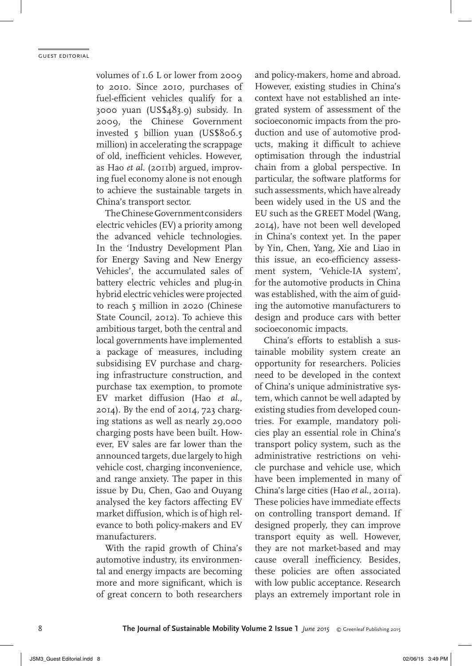volumes of 1.6 L or lower from 2009 to 2010. Since 2010, purchases of fuel-efficient vehicles qualify for a 3000 yuan (US\$483.9) subsidy. In 2009, the Chinese Government invested 5 billion yuan (US\$806.5 million) in accelerating the scrappage of old, inefficient vehicles. However, as Hao *et al*. (2011b) argued, improving fuel economy alone is not enough to achieve the sustainable targets in China's transport sector.

The Chinese Government considers electric vehicles (EV) a priority among the advanced vehicle technologies. In the 'Industry Development Plan for Energy Saving and New Energy Vehicles', the accumulated sales of battery electric vehicles and plug-in hybrid electric vehicles were projected to reach 5 million in 2020 (Chinese State Council, 2012). To achieve this ambitious target, both the central and local governments have implemented a package of measures, including subsidising EV purchase and charging infrastructure construction, and purchase tax exemption, to promote EV market diffusion (Hao *et al*., 2014). By the end of 2014, 723 charging stations as well as nearly 29,000 charging posts have been built. However, EV sales are far lower than the announced targets, due largely to high vehicle cost, charging inconvenience, and range anxiety. The paper in this issue by Du, Chen, Gao and Ouyang analysed the key factors affecting EV market diffusion, which is of high relevance to both policy-makers and EV manufacturers.

With the rapid growth of China's automotive industry, its environmental and energy impacts are becoming more and more significant, which is of great concern to both researchers and policy-makers, home and abroad. However, existing studies in China's context have not established an integrated system of assessment of the socioeconomic impacts from the production and use of automotive products, making it difficult to achieve optimisation through the industrial chain from a global perspective. In particular, the software platforms for such assessments, which have already been widely used in the US and the EU such as the GREET Model (Wang, 2014), have not been well developed in China's context yet. In the paper by Yin, Chen, Yang, Xie and Liao in this issue, an eco-efficiency assessment system, 'Vehicle-IA system', for the automotive products in China was established, with the aim of guiding the automotive manufacturers to design and produce cars with better socioeconomic impacts.

China's efforts to establish a sustainable mobility system create an opportunity for researchers. Policies need to be developed in the context of China's unique administrative system, which cannot be well adapted by existing studies from developed countries. For example, mandatory policies play an essential role in China's transport policy system, such as the administrative restrictions on vehicle purchase and vehicle use, which have been implemented in many of China's large cities (Hao *et al*., 2011a). These policies have immediate effects on controlling transport demand. If designed properly, they can improve transport equity as well. However, they are not market-based and may cause overall inefficiency. Besides, these policies are often associated with low public acceptance. Research plays an extremely important role in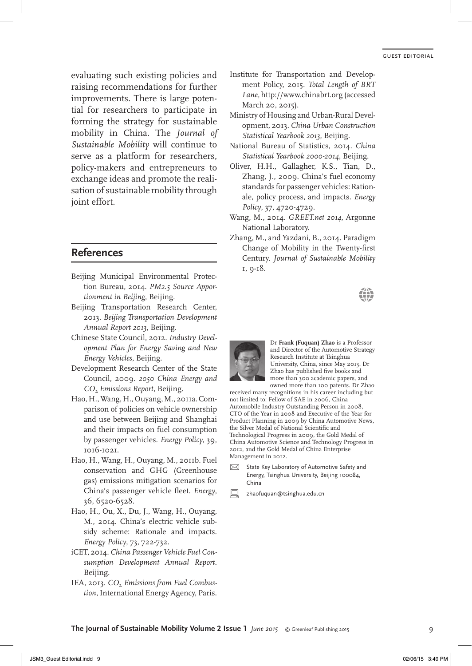evaluating such existing policies and raising recommendations for further improvements. There is large potential for researchers to participate in forming the strategy for sustainable mobility in China. The *Journal of Sustainable Mobility* will continue to serve as a platform for researchers, policy-makers and entrepreneurs to exchange ideas and promote the realisation of sustainable mobility through joint effort.

## **References**

- Beijing Municipal Environmental Protection Bureau, 2014. *PM2.5 Source Apportionment in Beijing*, Beijing.
- Beijing Transportation Research Center, 2013. *Beijing Transportation Development Annual Report 2013*, Beijing.
- Chinese State Council, 2012. *Industry Development Plan for Energy Saving and New Energy Vehicles*, Beijing.
- Development Research Center of the State Council, 2009. *2050 China Energy and CO*2 *Emissions Report*, Beijing.
- Hao, H., Wang, H., Ouyang, M., 2011a. Comparison of policies on vehicle ownership and use between Beijing and Shanghai and their impacts on fuel consumption by passenger vehicles. *Energy Policy*, 39, 1016-1021.
- Hao, H., Wang, H., Ouyang, M., 2011b. Fuel conservation and GHG (Greenhouse gas) emissions mitigation scenarios for China's passenger vehicle fleet. *Energy*, 36, 6520-6528.
- Hao, H., Ou, X., Du, J., Wang, H., Ouyang, M., 2014. China's electric vehicle subsidy scheme: Rationale and impacts. *Energy Policy*, 73, 722-732.
- iCET, 2014. *China Passenger Vehicle Fuel Consumption Development Annual Report*. Beijing.
- IEA, 2013. CO<sub>2</sub> Emissions from Fuel Combus*tion*, International Energy Agency, Paris.
- Institute for Transportation and Development Policy, 2015. *Total Length of BRT Lane*, http://www.chinabrt.org (accessed March 20, 2015).
- Ministry of Housing and Urban-Rural Development, 2013. *China Urban Construction Statistical Yearbook 2013*, Beijing.
- National Bureau of Statistics, 2014. *China Statistical Yearbook 2000-2014*, Beijing.
- Oliver, H.H., Gallagher, K.S., Tian, D., Zhang, J., 2009. China's fuel economy standards for passenger vehicles: Rationale, policy process, and impacts. *Energy Policy*, 37, 4720-4729.
- Wang, M., 2014. *GREET.net 2014*, Argonne National Laboratory.
- Zhang, M., and Yazdani, B., 2014. Paradigm Change of Mobility in the Twenty-first Century. *Journal of Sustainable Mobility* 1, 9-18.





Dr **Frank (Fuquan) Zhao** is a Professor and Director of the Automotive Strategy Research Institute at Tsinghua University, China, since May 2013. Dr Zhao has published five books and more than 300 academic papers, and owned more than 100 patents. Dr Zhao

received many recognitions in his career including but not limited to: Fellow of SAE in 2006, China Automobile Industry Outstanding Person in 2008, CTO of the Year in 2008 and Executive of the Year for Product Planning in 2009 by China Automotive News, the Silver Medal of National Scientific and Technological Progress in 2009, the Gold Medal of China Automotive Science and Technology Progress in 2012, and the Gold Medal of China Enterprise Management in 2012.

- $\boxtimes$  State Key Laboratory of Automotive Safety and Energy, Tsinghua University, Beijing 100084, China
	- zhaofuquan@tsinghua.edu.cn